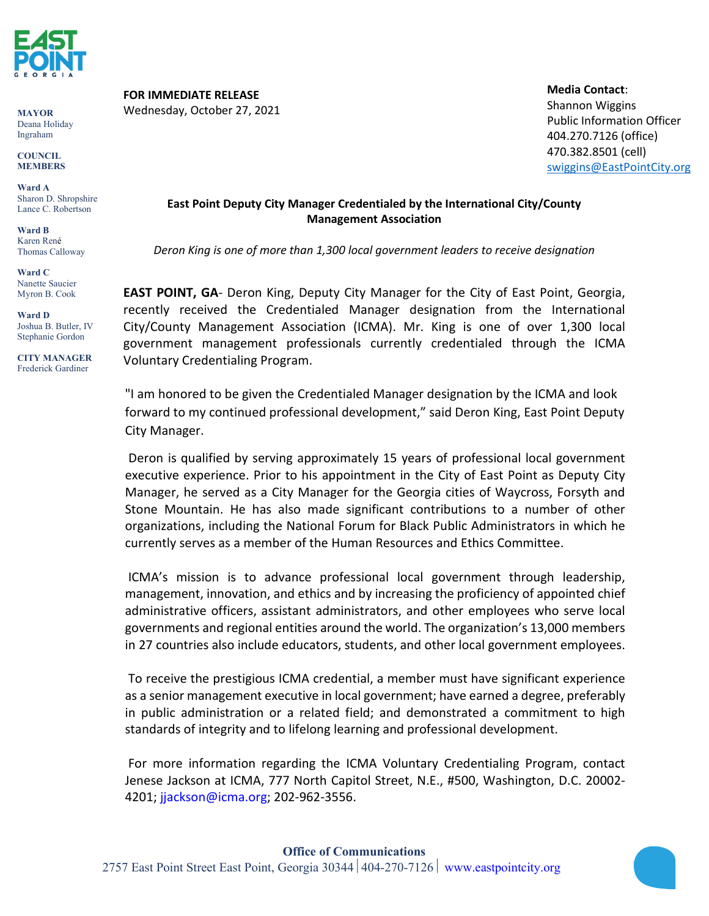

**MAYOR** Deana Holiday Ingraham

**COUNCIL MEMBERS**

**Ward A** Sharon D. Shropshire Lance C. Robertson

**Ward B** Karen René Thomas Calloway

**Ward C** Nanette Saucier Myron B. Cook

**Ward D** Joshua B. Butler, IV Stephanie Gordon

**CITY MANAGER** Frederick Gardiner

**FOR IMMEDIATE RELEASE**

Wednesday, October 27, 2021

**Media Contact**: Shannon Wiggins Public Information Officer 404.270.7126 (office) 470.382.8501 (cell) [swiggins@EastPointCity.org](mailto:swiggins@EastPointCity.org)

## **East Point Deputy City Manager Credentialed by the International City/County Management Association**

*Deron King is one of more than 1,300 local government leaders to receive designation*

**EAST POINT, GA**- Deron King, Deputy City Manager for the City of East Point, Georgia, recently received the Credentialed Manager designation from the International City/County Management Association (ICMA). Mr. King is one of over 1,300 local government management professionals currently credentialed through the ICMA Voluntary Credentialing Program.

"I am honored to be given the Credentialed Manager designation by the ICMA and look forward to my continued professional development," said Deron King, East Point Deputy City Manager.

Deron is qualified by serving approximately 15 years of professional local government executive experience. Prior to his appointment in the City of East Point as Deputy City Manager, he served as a City Manager for the Georgia cities of Waycross, Forsyth and Stone Mountain. He has also made significant contributions to a number of other organizations, including the National Forum for Black Public Administrators in which he currently serves as a member of the Human Resources and Ethics Committee.

ICMA's mission is to advance professional local government through leadership, management, innovation, and ethics and by increasing the proficiency of appointed chief administrative officers, assistant administrators, and other employees who serve local governments and regional entities around the world. The organization's 13,000 members in 27 countries also include educators, students, and other local government employees.

To receive the prestigious ICMA credential, a member must have significant experience as a senior management executive in local government; have earned a degree, preferably in public administration or a related field; and demonstrated a commitment to high standards of integrity and to lifelong learning and professional development.

For more information regarding the ICMA Voluntary Credentialing Program, contact Jenese Jackson at ICMA, 777 North Capitol Street, N.E., #500, Washington, D.C. 20002- 4201; jjackson@icma.org; 202-962-3556.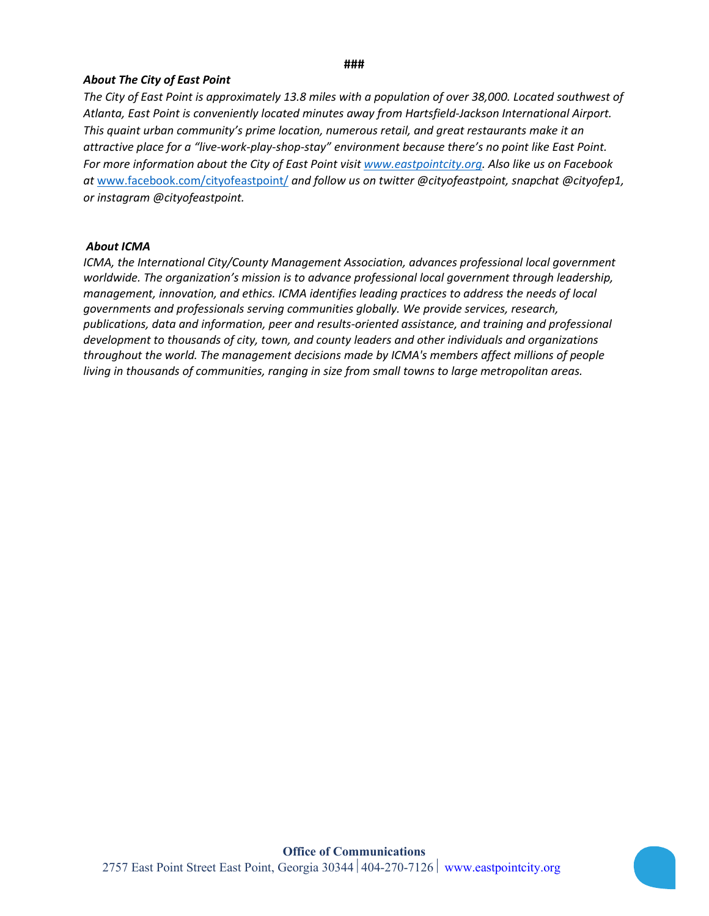## **###**

## *About The City of East Point*

*The City of East Point is approximately 13.8 miles with a population of over 38,000. Located southwest of Atlanta, East Point is conveniently located minutes away from Hartsfield-Jackson International Airport. This quaint urban community's prime location, numerous retail, and great restaurants make it an attractive place for a "live-work-play-shop-stay" environment because there's no point like East Point. For more information about the City of East Point visit [www.eastpointcity.org.](http://www.eastpointcity.org/) Also like us on Facebook at* [www.facebook.com/cityofeastpoint/](http://www.facebook.com/cityofeastpoint/) *and follow us on twitter @cityofeastpoint, snapchat @cityofep1, or instagram @cityofeastpoint.* 

## *About ICMA*

*ICMA, the International City/County Management Association, advances professional local government worldwide. The organization's mission is to advance professional local government through leadership, management, innovation, and ethics. ICMA identifies leading practices to address the needs of local governments and professionals serving communities globally. We provide services, research, publications, data and information, peer and results-oriented assistance, and training and professional development to thousands of city, town, and county leaders and other individuals and organizations throughout the world. The management decisions made by ICMA's members affect millions of people living in thousands of communities, ranging in size from small towns to large metropolitan areas.*